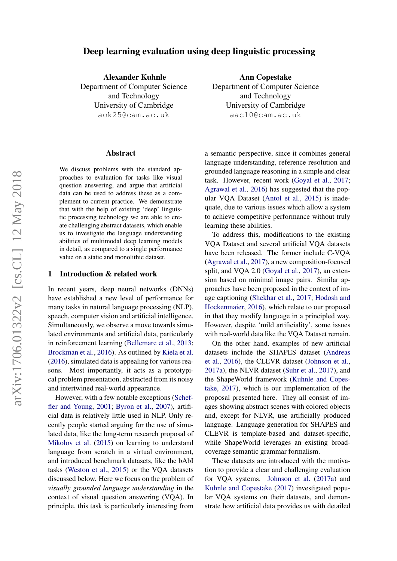# Deep learning evaluation using deep linguistic processing

Alexander Kuhnle Department of Computer Science and Technology University of Cambridge aok25@cam.ac.uk

#### Abstract

We discuss problems with the standard approaches to evaluation for tasks like visual question answering, and argue that artificial data can be used to address these as a complement to current practice. We demonstrate that with the help of existing 'deep' linguistic processing technology we are able to create challenging abstract datasets, which enable us to investigate the language understanding abilities of multimodal deep learning models in detail, as compared to a single performance value on a static and monolithic dataset.

### 1 Introduction & related work

In recent years, deep neural networks (DNNs) have established a new level of performance for many tasks in natural language processing (NLP), speech, computer vision and artificial intelligence. Simultaneously, we observe a move towards simulated environments and artificial data, particularly in reinforcement learning [\(Bellemare et al.,](#page-5-0) [2013;](#page-5-0) [Brockman et al.,](#page-5-1) [2016\)](#page-5-1). As outlined by [Kiela et al.](#page-5-2) [\(2016\)](#page-5-2), simulated data is appealing for various reasons. Most importantly, it acts as a prototypical problem presentation, abstracted from its noisy and intertwined real-world appearance.

However, with a few notable exceptions [\(Schef](#page-6-0)[fler and Young,](#page-6-0) [2001;](#page-6-0) [Byron et al.,](#page-5-3) [2007\)](#page-5-3), artificial data is relatively little used in NLP. Only recently people started arguing for the use of simulated data, like the long-term research proposal of [Mikolov et al.](#page-6-1) [\(2015\)](#page-6-1) on learning to understand language from scratch in a virtual environment, and introduced benchmark datasets, like the bAbI tasks [\(Weston et al.,](#page-6-2) [2015\)](#page-6-2) or the VQA datasets discussed below. Here we focus on the problem of *visually grounded language understanding* in the context of visual question answering (VQA). In principle, this task is particularly interesting from

Ann Copestake Department of Computer Science and Technology University of Cambridge aac10@cam.ac.uk

a semantic perspective, since it combines general language understanding, reference resolution and grounded language reasoning in a simple and clear task. However, recent work [\(Goyal et al.,](#page-5-4) [2017;](#page-5-4) [Agrawal et al.,](#page-5-5) [2016\)](#page-5-5) has suggested that the popular VQA Dataset [\(Antol et al.,](#page-5-6) [2015\)](#page-5-6) is inadequate, due to various issues which allow a system to achieve competitive performance without truly learning these abilities.

To address this, modifications to the existing VQA Dataset and several artificial VQA datasets have been released. The former include C-VQA [\(Agrawal et al.,](#page-5-7) [2017\)](#page-5-7), a new composition-focused split, and VQA 2.0 [\(Goyal et al.,](#page-5-4) [2017\)](#page-5-4), an extension based on minimal image pairs. Similar approaches have been proposed in the context of image captioning [\(Shekhar et al.,](#page-6-3) [2017;](#page-6-3) [Hodosh and](#page-5-8) [Hockenmaier,](#page-5-8) [2016\)](#page-5-8), which relate to our proposal in that they modify language in a principled way. However, despite 'mild artificiality', some issues with real-world data like the VQA Dataset remain.

On the other hand, examples of new artificial datasets include the SHAPES dataset [\(Andreas](#page-5-9) [et al.,](#page-5-9) [2016\)](#page-5-9), the CLEVR dataset [\(Johnson et al.,](#page-5-10) [2017a\)](#page-5-10), the NLVR dataset [\(Suhr et al.,](#page-6-4) [2017\)](#page-6-4), and the ShapeWorld framework [\(Kuhnle and Copes](#page-5-11)[take,](#page-5-11) [2017\)](#page-5-11), which is our implementation of the proposal presented here. They all consist of images showing abstract scenes with colored objects and, except for NLVR, use artificially produced language. Language generation for SHAPES and CLEVR is template-based and dataset-specific, while ShapeWorld leverages an existing broadcoverage semantic grammar formalism.

These datasets are introduced with the motivation to provide a clear and challenging evaluation for VQA systems. [Johnson et al.](#page-5-10) [\(2017a\)](#page-5-10) and [Kuhnle and Copestake](#page-5-11) [\(2017\)](#page-5-11) investigated popular VQA systems on their datasets, and demonstrate how artificial data provides us with detailed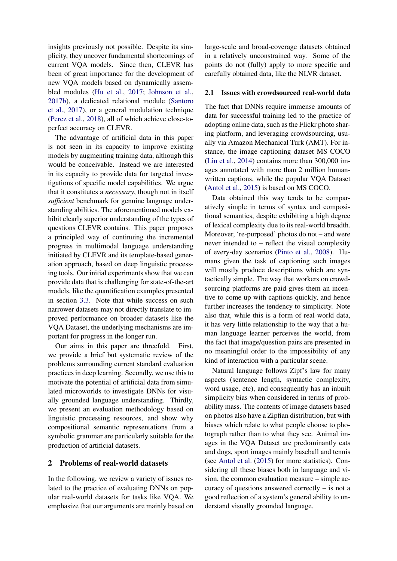insights previously not possible. Despite its simplicity, they uncover fundamental shortcomings of current VQA models. Since then, CLEVR has been of great importance for the development of new VQA models based on dynamically assembled modules [\(Hu et al.,](#page-5-12) [2017;](#page-5-12) [Johnson et al.,](#page-5-13) [2017b\)](#page-5-13), a dedicated relational module [\(Santoro](#page-6-5) [et al.,](#page-6-5) [2017\)](#page-6-5), or a general modulation technique [\(Perez et al.,](#page-6-6) [2018\)](#page-6-6), all of which achieve close-toperfect accuracy on CLEVR.

The advantage of artificial data in this paper is not seen in its capacity to improve existing models by augmenting training data, although this would be conceivable. Instead we are interested in its capacity to provide data for targeted investigations of specific model capabilities. We argue that it constitutes a *necessary*, though not in itself *sufficient* benchmark for genuine language understanding abilities. The aforementioned models exhibit clearly superior understanding of the types of questions CLEVR contains. This paper proposes a principled way of continuing the incremental progress in multimodal language understanding initiated by CLEVR and its template-based generation approach, based on deep linguistic processing tools. Our initial experiments show that we can provide data that is challenging for state-of-the-art models, like the quantification examples presented in section [3.3.](#page-4-0) Note that while success on such narrower datasets may not directly translate to improved performance on broader datasets like the VQA Dataset, the underlying mechanisms are important for progress in the longer run.

Our aims in this paper are threefold. First, we provide a brief but systematic review of the problems surrounding current standard evaluation practices in deep learning. Secondly, we use this to motivate the potential of artificial data from simulated microworlds to investigate DNNs for visually grounded language understanding. Thirdly, we present an evaluation methodology based on linguistic processing resources, and show why compositional semantic representations from a symbolic grammar are particularly suitable for the production of artificial datasets.

## 2 Problems of real-world datasets

In the following, we review a variety of issues related to the practice of evaluating DNNs on popular real-world datasets for tasks like VQA. We emphasize that our arguments are mainly based on

large-scale and broad-coverage datasets obtained in a relatively unconstrained way. Some of the points do not (fully) apply to more specific and carefully obtained data, like the NLVR dataset.

### 2.1 Issues with crowdsourced real-world data

The fact that DNNs require immense amounts of data for successful training led to the practice of adopting online data, such as the Flickr photo sharing platform, and leveraging crowdsourcing, usually via Amazon Mechanical Turk (AMT). For instance, the image captioning dataset MS COCO [\(Lin et al.,](#page-6-7) [2014\)](#page-6-7) contains more than 300,000 images annotated with more than 2 million humanwritten captions, while the popular VQA Dataset [\(Antol et al.,](#page-5-6) [2015\)](#page-5-6) is based on MS COCO.

Data obtained this way tends to be comparatively simple in terms of syntax and compositional semantics, despite exhibiting a high degree of lexical complexity due to its real-world breadth. Moreover, 're-purposed' photos do not – and were never intended to – reflect the visual complexity of every-day scenarios [\(Pinto et al.,](#page-6-8) [2008\)](#page-6-8). Humans given the task of captioning such images will mostly produce descriptions which are syntactically simple. The way that workers on crowdsourcing platforms are paid gives them an incentive to come up with captions quickly, and hence further increases the tendency to simplicity. Note also that, while this is a form of real-world data, it has very little relationship to the way that a human language learner perceives the world, from the fact that image/question pairs are presented in no meaningful order to the impossibility of any kind of interaction with a particular scene.

Natural language follows Zipf's law for many aspects (sentence length, syntactic complexity, word usage, etc), and consequently has an inbuilt simplicity bias when considered in terms of probability mass. The contents of image datasets based on photos also have a Zipfian distribution, but with biases which relate to what people choose to photograph rather than to what they see. Animal images in the VQA Dataset are predominantly cats and dogs, sport images mainly baseball and tennis (see [Antol et al.](#page-5-6) [\(2015\)](#page-5-6) for more statistics). Considering all these biases both in language and vision, the common evaluation measure – simple accuracy of questions answered correctly – is not a good reflection of a system's general ability to understand visually grounded language.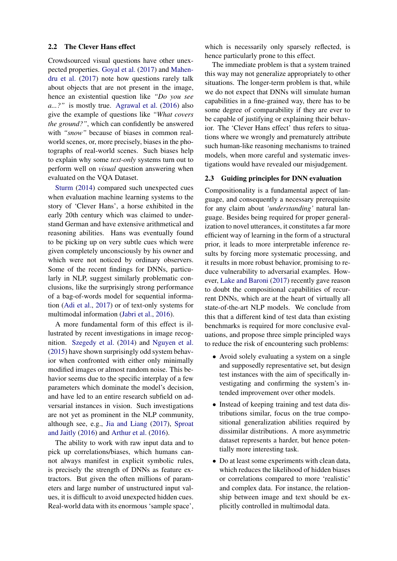### 2.2 The Clever Hans effect

Crowdsourced visual questions have other unexpected properties. [Goyal et al.](#page-5-4) [\(2017\)](#page-5-4) and [Mahen](#page-6-9)[dru et al.](#page-6-9) [\(2017\)](#page-6-9) note how questions rarely talk about objects that are not present in the image, hence an existential question like *"Do you see a...?"* is mostly true. [Agrawal et al.](#page-5-5) [\(2016\)](#page-5-5) also give the example of questions like *"What covers the ground?"*, which can confidently be answered with *"snow*" because of biases in common realworld scenes, or, more precisely, biases in the photographs of real-world scenes. Such biases help to explain why some *text-only* systems turn out to perform well on *visual* question answering when evaluated on the VQA Dataset.

[Sturm](#page-6-10) [\(2014\)](#page-6-10) compared such unexpected cues when evaluation machine learning systems to the story of 'Clever Hans', a horse exhibited in the early 20th century which was claimed to understand German and have extensive arithmetical and reasoning abilities. Hans was eventually found to be picking up on very subtle cues which were given completely unconsciously by his owner and which were not noticed by ordinary observers. Some of the recent findings for DNNs, particularly in NLP, suggest similarly problematic conclusions, like the surprisingly strong performance of a bag-of-words model for sequential information [\(Adi et al.,](#page-5-14) [2017\)](#page-5-14) or of text-only systems for multimodal information [\(Jabri et al.,](#page-5-15) [2016\)](#page-5-15).

A more fundamental form of this effect is illustrated by recent investigations in image recognition. [Szegedy et al.](#page-6-11) [\(2014\)](#page-6-11) and [Nguyen et al.](#page-6-12) [\(2015\)](#page-6-12) have shown surprisingly odd system behavior when confronted with either only minimally modified images or almost random noise. This behavior seems due to the specific interplay of a few parameters which dominate the model's decision, and have led to an entire research subfield on adversarial instances in vision. Such investigations are not yet as prominent in the NLP community, although see, e.g., [Jia and Liang](#page-5-16) [\(2017\)](#page-5-16), [Sproat](#page-6-13) [and Jaitly](#page-6-13) [\(2016\)](#page-6-13) and [Arthur et al.](#page-5-17) [\(2016\)](#page-5-17).

The ability to work with raw input data and to pick up correlations/biases, which humans cannot always manifest in explicit symbolic rules, is precisely the strength of DNNs as feature extractors. But given the often millions of parameters and large number of unstructured input values, it is difficult to avoid unexpected hidden cues. Real-world data with its enormous 'sample space',

which is necessarily only sparsely reflected, is hence particularly prone to this effect.

The immediate problem is that a system trained this way may not generalize appropriately to other situations. The longer-term problem is that, while we do not expect that DNNs will simulate human capabilities in a fine-grained way, there has to be some degree of comparability if they are ever to be capable of justifying or explaining their behavior. The 'Clever Hans effect' thus refers to situations where we wrongly and prematurely attribute such human-like reasoning mechanisms to trained models, when more careful and systematic investigations would have revealed our misjudgement.

## 2.3 Guiding principles for DNN evaluation

Compositionality is a fundamental aspect of language, and consequently a necessary prerequisite for any claim about *'understanding'* natural language. Besides being required for proper generalization to novel utterances, it constitutes a far more efficient way of learning in the form of a structural prior, it leads to more interpretable inference results by forcing more systematic processing, and it results in more robust behavior, promising to reduce vulnerability to adversarial examples. However, [Lake and Baroni](#page-6-14) [\(2017\)](#page-6-14) recently gave reason to doubt the compositional capabilities of recurrent DNNs, which are at the heart of virtually all state-of-the-art NLP models. We conclude from this that a different kind of test data than existing benchmarks is required for more conclusive evaluations, and propose three simple principled ways to reduce the risk of encountering such problems:

- Avoid solely evaluating a system on a single and supposedly representative set, but design test instances with the aim of specifically investigating and confirming the system's intended improvement over other models.
- Instead of keeping training and test data distributions similar, focus on the true compositional generalization abilities required by dissimilar distributions. A more asymmetric dataset represents a harder, but hence potentially more interesting task.
- Do at least some experiments with clean data, which reduces the likelihood of hidden biases or correlations compared to more 'realistic' and complex data. For instance, the relationship between image and text should be explicitly controlled in multimodal data.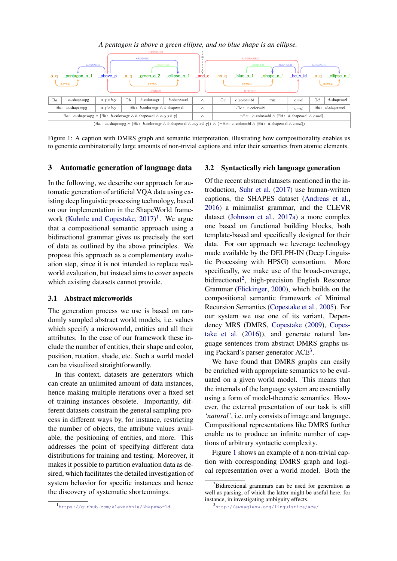

<span id="page-3-3"></span>Figure 1: A caption with DMRS graph and semantic interpretation, illustrating how compositionality enables us to generate combinatorially large amounts of non-trivial captions and infer their semantics from atomic elements.

### 3 Automatic generation of language data

In the following, we describe our approach for automatic generation of artificial VQA data using existing deep linguistic processing technology, based on our implementation in the ShapeWorld frame-work [\(Kuhnle and Copestake,](#page-5-11) [2017\)](#page-5-11)<sup>[1](#page-3-0)</sup>. We argue that a compositional semantic approach using a bidirectional grammar gives us precisely the sort of data as outlined by the above principles. We propose this approach as a complementary evaluation step, since it is not intended to replace realworld evaluation, but instead aims to cover aspects which existing datasets cannot provide.

# 3.1 Abstract microworlds

The generation process we use is based on randomly sampled abstract world models, i.e. values which specify a microworld, entities and all their attributes. In the case of our framework these include the number of entities, their shape and color, position, rotation, shade, etc. Such a world model can be visualized straightforwardly.

In this context, datasets are generators which can create an unlimited amount of data instances, hence making multiple iterations over a fixed set of training instances obsolete. Importantly, different datasets constrain the general sampling process in different ways by, for instance, restricting the number of objects, the attribute values available, the positioning of entities, and more. This addresses the point of specifying different data distributions for training and testing. Moreover, it makes it possible to partition evaluation data as desired, which facilitates the detailed investigation of system behavior for specific instances and hence the discovery of systematic shortcomings.

#### 3.2 Syntactically rich language generation

Of the recent abstract datasets mentioned in the introduction, [Suhr et al.](#page-6-4) [\(2017\)](#page-6-4) use human-written captions, the SHAPES dataset [\(Andreas et al.,](#page-5-9) [2016\)](#page-5-9) a minimalist grammar, and the CLEVR dataset [\(Johnson et al.,](#page-5-10) [2017a\)](#page-5-10) a more complex one based on functional building blocks, both template-based and specifically designed for their data. For our approach we leverage technology made available by the DELPH-IN (Deep Linguistic Processing with HPSG) consortium. More specifically, we make use of the broad-coverage, bidirectional<sup>[2](#page-3-1)</sup>, high-precision English Resource Grammar [\(Flickinger,](#page-5-18) [2000\)](#page-5-18), which builds on the compositional semantic framework of Minimal Recursion Semantics [\(Copestake et al.,](#page-5-19) [2005\)](#page-5-19). For our system we use one of its variant, Dependency MRS (DMRS, [Copestake](#page-5-20) [\(2009\)](#page-5-20), [Copes](#page-5-21)[take et al.](#page-5-21) [\(2016\)](#page-5-21)), and generate natural language sentences from abstract DMRS graphs us-ing Packard's parser-generator ACE<sup>[3](#page-3-2)</sup>.

We have found that DMRS graphs can easily be enriched with appropriate semantics to be evaluated on a given world model. This means that the internals of the language system are essentially using a form of model-theoretic semantics. However, the external presentation of our task is still *'natural'*, i.e. only consists of image and language. Compositional representations like DMRS further enable us to produce an infinite number of captions of arbitrary syntactic complexity.

Figure [1](#page-3-3) shows an example of a non-trivial caption with corresponding DMRS graph and logical representation over a world model. Both the

<span id="page-3-1"></span> $2B$ idirectional grammars can be used for generation as well as parsing, of which the latter might be useful here, for instance, in investigating ambiguity effects.

<span id="page-3-0"></span><sup>1</sup> <https://github.com/AlexKuhnle/ShapeWorld>

<span id="page-3-2"></span><sup>3</sup> <http://sweaglesw.org/linguistics/ace/>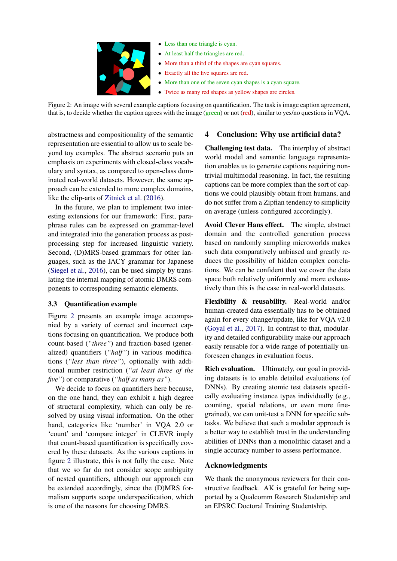

- Less than one triangle is cyan.
- At least half the triangles are red.
- More than a third of the shapes are cyan squares.
- Exactly all the five squares are red.
- More than one of the seven cyan shapes is a cyan square.
- Twice as many red shapes as yellow shapes are circles.

<span id="page-4-1"></span>Figure 2: An image with several example captions focusing on quantification. The task is image caption agreement, that is, to decide whether the caption agrees with the image (green) or not (red), similar to yes/no questions in VQA.

abstractness and compositionality of the semantic representation are essential to allow us to scale beyond toy examples. The abstract scenario puts an emphasis on experiments with closed-class vocabulary and syntax, as compared to open-class dominated real-world datasets. However, the same approach can be extended to more complex domains, like the clip-arts of [Zitnick et al.](#page-6-15) [\(2016\)](#page-6-15).

In the future, we plan to implement two interesting extensions for our framework: First, paraphrase rules can be expressed on grammar-level and integrated into the generation process as postprocessing step for increased linguistic variety. Second, (D)MRS-based grammars for other languages, such as the JACY grammar for Japanese [\(Siegel et al.,](#page-6-16) [2016\)](#page-6-16), can be used simply by translating the internal mapping of atomic DMRS components to corresponding semantic elements.

# <span id="page-4-0"></span>3.3 Quantification example

Figure [2](#page-4-1) presents an example image accompanied by a variety of correct and incorrect captions focusing on quantification. We produce both count-based (*"three"*) and fraction-based (generalized) quantifiers (*"half"*) in various modifications (*"less than three"*), optionally with additional number restriction (*"at least three of the five"*) or comparative (*"half as many as"*).

We decide to focus on quantifiers here because, on the one hand, they can exhibit a high degree of structural complexity, which can only be resolved by using visual information. On the other hand, categories like 'number' in VQA 2.0 or 'count' and 'compare integer' in CLEVR imply that count-based quantification is specifically covered by these datasets. As the various captions in figure [2](#page-4-1) illustrate, this is not fully the case. Note that we so far do not consider scope ambiguity of nested quantifiers, although our approach can be extended accordingly, since the (D)MRS formalism supports scope underspecification, which is one of the reasons for choosing DMRS.

# 4 Conclusion: Why use artificial data?

Challenging test data. The interplay of abstract world model and semantic language representation enables us to generate captions requiring nontrivial multimodal reasoning. In fact, the resulting captions can be more complex than the sort of captions we could plausibly obtain from humans, and do not suffer from a Zipfian tendency to simplicity on average (unless configured accordingly).

Avoid Clever Hans effect. The simple, abstract domain and the controlled generation process based on randomly sampling microworlds makes such data comparatively unbiased and greatly reduces the possibility of hidden complex correlations. We can be confident that we cover the data space both relatively uniformly and more exhaustively than this is the case in real-world datasets.

Flexibility & reusability. Real-world and/or human-created data essentially has to be obtained again for every change/update, like for VQA v2.0 [\(Goyal et al.,](#page-5-4) [2017\)](#page-5-4). In contrast to that, modularity and detailed configurability make our approach easily reusable for a wide range of potentially unforeseen changes in evaluation focus.

Rich evaluation. Ultimately, our goal in providing datasets is to enable detailed evaluations (of DNNs). By creating atomic test datasets specifically evaluating instance types individually (e.g., counting, spatial relations, or even more finegrained), we can unit-test a DNN for specific subtasks. We believe that such a modular approach is a better way to establish trust in the understanding abilities of DNNs than a monolithic dataset and a single accuracy number to assess performance.

# Acknowledgments

We thank the anonymous reviewers for their constructive feedback. AK is grateful for being supported by a Qualcomm Research Studentship and an EPSRC Doctoral Training Studentship.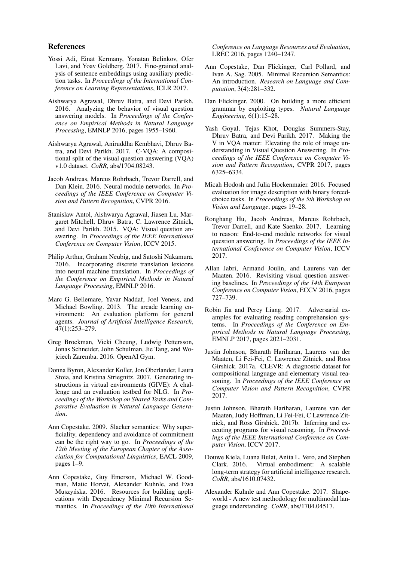### References

- <span id="page-5-14"></span>Yossi Adi, Einat Kermany, Yonatan Belinkov, Ofer Lavi, and Yoav Goldberg. 2017. Fine-grained analysis of sentence embeddings using auxiliary prediction tasks. In *Proceedings of the International Conference on Learning Representations*, ICLR 2017.
- <span id="page-5-5"></span>Aishwarya Agrawal, Dhruv Batra, and Devi Parikh. 2016. Analyzing the behavior of visual question answering models. In *Proceedings of the Conference on Empirical Methods in Natural Language Processing*, EMNLP 2016, pages 1955–1960.
- <span id="page-5-7"></span>Aishwarya Agrawal, Aniruddha Kembhavi, Dhruv Batra, and Devi Parikh. 2017. C-VQA: A compositional split of the visual question answering (VQA) v1.0 dataset. *CoRR*, abs/1704.08243.
- <span id="page-5-9"></span>Jacob Andreas, Marcus Rohrbach, Trevor Darrell, and Dan Klein. 2016. Neural module networks. In *Proceedings of the IEEE Conference on Computer Vision and Pattern Recognition*, CVPR 2016.
- <span id="page-5-6"></span>Stanislaw Antol, Aishwarya Agrawal, Jiasen Lu, Margaret Mitchell, Dhruv Batra, C. Lawrence Zitnick, and Devi Parikh. 2015. VQA: Visual question answering. In *Proceedings of the IEEE International Conference on Computer Vision*, ICCV 2015.
- <span id="page-5-17"></span>Philip Arthur, Graham Neubig, and Satoshi Nakamura. 2016. Incorporating discrete translation lexicons into neural machine translation. In *Proceedings of the Conference on Empirical Methods in Natural Language Processing*, EMNLP 2016.
- <span id="page-5-0"></span>Marc G. Bellemare, Yavar Naddaf, Joel Veness, and Michael Bowling. 2013. The arcade learning environment: An evaluation platform for general agents. *Journal of Artificial Intelligence Research*, 47(1):253–279.
- <span id="page-5-1"></span>Greg Brockman, Vicki Cheung, Ludwig Pettersson, Jonas Schneider, John Schulman, Jie Tang, and Wojciech Zaremba. 2016. OpenAI Gym.
- <span id="page-5-3"></span>Donna Byron, Alexander Koller, Jon Oberlander, Laura Stoia, and Kristina Striegnitz. 2007. Generating instructions in virtual environments (GIVE): A challenge and an evaluation testbed for NLG. In *Proceedings of the Workshop on Shared Tasks and Comparative Evaluation in Natural Language Generation*.
- <span id="page-5-20"></span>Ann Copestake. 2009. Slacker semantics: Why superficiality, dependency and avoidance of commitment can be the right way to go. In *Proceedings of the 12th Meeting of the European Chapter of the Association for Computational Linguistics*, EACL 2009, pages 1–9.
- <span id="page-5-21"></span>Ann Copestake, Guy Emerson, Michael W. Goodman, Matic Horvat, Alexander Kuhnle, and Ewa Muszyńska. 2016. Resources for building applications with Dependency Minimal Recursion Semantics. In *Proceedings of the 10th International*

*Conference on Language Resources and Evaluation*, LREC 2016, pages 1240–1247.

- <span id="page-5-19"></span>Ann Copestake, Dan Flickinger, Carl Pollard, and Ivan A. Sag. 2005. Minimal Recursion Semantics: An introduction. *Research on Language and Computation*, 3(4):281–332.
- <span id="page-5-18"></span>Dan Flickinger. 2000. On building a more efficient grammar by exploiting types. *Natural Language Engineering*, 6(1):15–28.
- <span id="page-5-4"></span>Yash Goyal, Tejas Khot, Douglas Summers-Stay, Dhruv Batra, and Devi Parikh. 2017. Making the V in VQA matter: Elevating the role of image understanding in Visual Question Answering. In *Proceedings of the IEEE Conference on Computer Vision and Pattern Recognition*, CVPR 2017, pages 6325–6334.
- <span id="page-5-8"></span>Micah Hodosh and Julia Hockenmaier. 2016. Focused evaluation for image description with binary forcedchoice tasks. In *Proceedings of the 5th Workshop on Vision and Language*, pages 19–28.
- <span id="page-5-12"></span>Ronghang Hu, Jacob Andreas, Marcus Rohrbach, Trevor Darrell, and Kate Saenko. 2017. Learning to reason: End-to-end module networks for visual question answering. In *Proceedings of the IEEE International Conference on Computer Vision*, ICCV 2017.
- <span id="page-5-15"></span>Allan Jabri, Armand Joulin, and Laurens van der Maaten. 2016. Revisiting visual question answering baselines. In *Proceedings of the 14th European Conference on Computer Vision*, ECCV 2016, pages 727–739.
- <span id="page-5-16"></span>Robin Jia and Percy Liang. 2017. Adversarial examples for evaluating reading comprehension systems. In *Proceedings of the Conference on Empirical Methods in Natural Language Processing*, EMNLP 2017, pages 2021–2031.
- <span id="page-5-10"></span>Justin Johnson, Bharath Hariharan, Laurens van der Maaten, Li Fei-Fei, C. Lawrence Zitnick, and Ross Girshick. 2017a. CLEVR: A diagnostic dataset for compositional language and elementary visual reasoning. In *Proceedings of the IEEE Conference on Computer Vision and Pattern Recognition*, CVPR 2017.
- <span id="page-5-13"></span>Justin Johnson, Bharath Hariharan, Laurens van der Maaten, Judy Hoffman, Li Fei-Fei, C Lawrence Zitnick, and Ross Girshick. 2017b. Inferring and executing programs for visual reasoning. In *Proceedings of the IEEE International Conference on Computer Vision*, ICCV 2017.
- <span id="page-5-2"></span>Douwe Kiela, Luana Bulat, Anita L. Vero, and Stephen Clark. 2016. Virtual embodiment: A scalable long-term strategy for artificial intelligence research. *CoRR*, abs/1610.07432.
- <span id="page-5-11"></span>Alexander Kuhnle and Ann Copestake. 2017. Shapeworld - A new test methodology for multimodal language understanding. *CoRR*, abs/1704.04517.